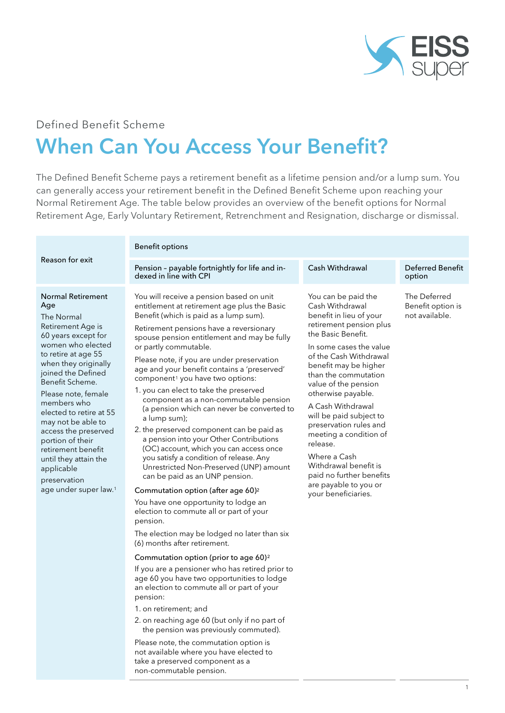

# Defined Benefit Scheme When Can You Access Your Benefit?

The Defined Benefit Scheme pays a retirement benefit as a lifetime pension and/or a lump sum. You can generally access your retirement benefit in the Defined Benefit Scheme upon reaching your Normal Retirement Age. The table below provides an overview of the benefit options for Normal Retirement Age, Early Voluntary Retirement, Retrenchment and Resignation, discharge or dismissal.

|                                                                                                                                                                                                                                                                                                                                                                                                                                                             | <b>Benefit options</b>                                                                                                                                                                                                                                                                                                                                                                                                                                                                                                                                                                                                                                                                                                                                                                                                                                                                                                                                                                                                                                                                                                                                                                                                                                                                                                                                                                                                                                                                                                                |                                                                                                                                                                                                                                                                                                                                                                                                                                                                                                             |                                                     |  |
|-------------------------------------------------------------------------------------------------------------------------------------------------------------------------------------------------------------------------------------------------------------------------------------------------------------------------------------------------------------------------------------------------------------------------------------------------------------|---------------------------------------------------------------------------------------------------------------------------------------------------------------------------------------------------------------------------------------------------------------------------------------------------------------------------------------------------------------------------------------------------------------------------------------------------------------------------------------------------------------------------------------------------------------------------------------------------------------------------------------------------------------------------------------------------------------------------------------------------------------------------------------------------------------------------------------------------------------------------------------------------------------------------------------------------------------------------------------------------------------------------------------------------------------------------------------------------------------------------------------------------------------------------------------------------------------------------------------------------------------------------------------------------------------------------------------------------------------------------------------------------------------------------------------------------------------------------------------------------------------------------------------|-------------------------------------------------------------------------------------------------------------------------------------------------------------------------------------------------------------------------------------------------------------------------------------------------------------------------------------------------------------------------------------------------------------------------------------------------------------------------------------------------------------|-----------------------------------------------------|--|
| Reason for exit                                                                                                                                                                                                                                                                                                                                                                                                                                             | Pension - payable fortnightly for life and in-<br>dexed in line with CPI                                                                                                                                                                                                                                                                                                                                                                                                                                                                                                                                                                                                                                                                                                                                                                                                                                                                                                                                                                                                                                                                                                                                                                                                                                                                                                                                                                                                                                                              | Cash Withdrawal                                                                                                                                                                                                                                                                                                                                                                                                                                                                                             | Deferred Benefit<br>option                          |  |
| <b>Normal Retirement</b><br>Age<br>The Normal<br>Retirement Age is<br>60 years except for<br>women who elected<br>to retire at age 55<br>when they originally<br>joined the Defined<br>Benefit Scheme.<br>Please note, female<br>members who<br>elected to retire at 55<br>may not be able to<br>access the preserved<br>portion of their<br>retirement benefit<br>until they attain the<br>applicable<br>preservation<br>age under super law. <sup>1</sup> | You will receive a pension based on unit<br>entitlement at retirement age plus the Basic<br>Benefit (which is paid as a lump sum).<br>Retirement pensions have a reversionary<br>spouse pension entitlement and may be fully<br>or partly commutable.<br>Please note, if you are under preservation<br>age and your benefit contains a 'preserved'<br>component <sup>1</sup> you have two options:<br>1. you can elect to take the preserved<br>component as a non-commutable pension<br>(a pension which can never be converted to<br>a lump sum);<br>2. the preserved component can be paid as<br>a pension into your Other Contributions<br>(OC) account, which you can access once<br>you satisfy a condition of release. Any<br>Unrestricted Non-Preserved (UNP) amount<br>can be paid as an UNP pension.<br>Commutation option (after age 60) <sup>2</sup><br>You have one opportunity to lodge an<br>election to commute all or part of your<br>pension.<br>The election may be lodged no later than six<br>(6) months after retirement.<br>Commutation option (prior to age 60) <sup>2</sup><br>If you are a pensioner who has retired prior to<br>age 60 you have two opportunities to lodge<br>an election to commute all or part of your<br>pension:<br>1. on retirement; and<br>2. on reaching age 60 (but only if no part of<br>the pension was previously commuted).<br>Please note, the commutation option is<br>not available where you have elected to<br>take a preserved component as a<br>non-commutable pension. | You can be paid the<br>Cash Withdrawal<br>benefit in lieu of your<br>retirement pension plus<br>the Basic Benefit.<br>In some cases the value<br>of the Cash Withdrawal<br>benefit may be higher<br>than the commutation<br>value of the pension<br>otherwise payable.<br>A Cash Withdrawal<br>will be paid subject to<br>preservation rules and<br>meeting a condition of<br>release.<br>Where a Cash<br>Withdrawal benefit is<br>paid no further benefits<br>are payable to you or<br>your beneficiaries. | The Deferred<br>Benefit option is<br>not available. |  |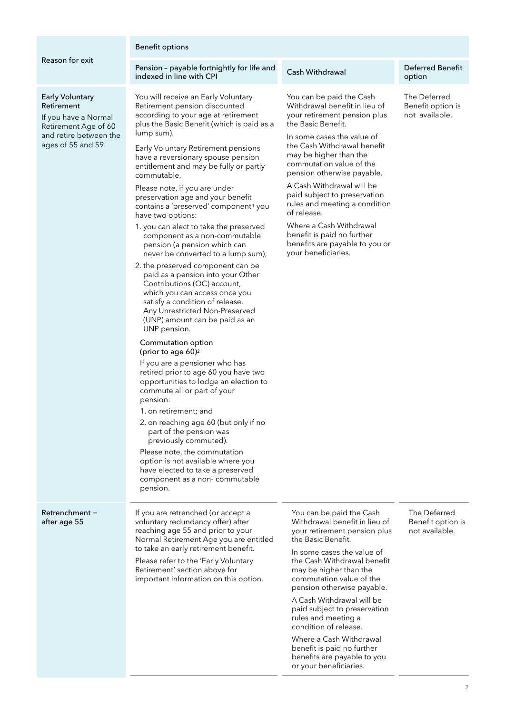#### Benefit options

Reason for exit

#### Early Voluntary Retirement

Retrenchment − after age 55

If you have a Normal Retirement Age of 60 and retire between the ages of 55 and 59.

# Pension - payable fortnightly for life and discussion Cash Withdrawal Deferred Benefit<br>indexed in line with CPI discussion option

You will receive an Early Voluntary Retirement pension discounted according to your age at retirement plus the Basic Benefit (which is paid as a lump sum).

Early Voluntary Retirement pensions have a reversionary spouse pension entitlement and may be fully or partly commutable.

Please note, if you are under preservation age and your benefit contains a 'preserved' component<sup>1</sup> you have two options:

- 1. you can elect to take the preserved component as a non-commutable pension (a pension which can never be converted to a lump sum);
- 2. the preserved component can be paid as a pension into your Other Contributions (OC) account, which you can access once you satisfy a condition of release. Any Unrestricted Non-Preserved (UNP) amount can be paid as an UNP pension.

#### Commutation option (prior to age 60)<sup>2</sup>

If you are a pensioner who has retired prior to age 60 you have two opportunities to lodge an election to commute all or part of your pension:

- 1. on retirement; and
- 2. on reaching age 60 (but only if no part of the pension was previously commuted).

Please note, the commutation option is not available where you have elected to take a preserved component as a non- commutable pension.

If you are retrenched (or accept a voluntary redundancy offer) after

You can be paid the Cash Withdrawal benefit in lieu of your retirement pension plus the Basic Benefit.

In some cases the value of the Cash Withdrawal benefit may be higher than the commutation value of the pension otherwise payable.

A Cash Withdrawal will be paid subject to preservation rules and meeting a condition of release.

Where a Cash Withdrawal benefit is paid no further benefits are payable to you or your beneficiaries.

# option

The Deferred Benefit option is not available.

| id the Cash       | The De  |
|-------------------|---------|
| enefit in lieu of | Benefi  |
| nt pension plus   | not ava |
| efit.             |         |

reaching age 55 and prior to your Normal Retirement Age you are entitled to take an early retirement benefit. Please refer to the 'Early Voluntary

Retirement' section above for important information on this option. You can be pai Withdrawal be your retirement the Basic Bene In some cases the value of

the Cash Withdrawal benefit may be higher than the commutation value of the pension otherwise payable.

A Cash Withdrawal will be paid subject to preservation rules and meeting a condition of release.

Where a Cash Withdrawal benefit is paid no further benefits are payable to you or your beneficiaries.

#### eferred it option is ailable.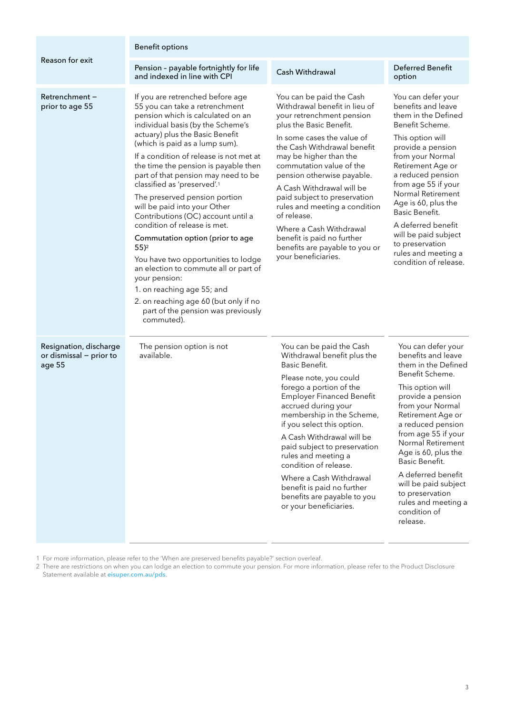| Reason for exit                                             | <b>Benefit options</b>                                                                                                                                                                                                                                                                                                                                                                                                                                                                                                                                                                                                                                                                                                                                                                                              |                                                                                                                                                                                                                                                                                                                                                                                                                                                                                                   |                                                                                                                                                                                                                                                                                                                                                                                                    |  |
|-------------------------------------------------------------|---------------------------------------------------------------------------------------------------------------------------------------------------------------------------------------------------------------------------------------------------------------------------------------------------------------------------------------------------------------------------------------------------------------------------------------------------------------------------------------------------------------------------------------------------------------------------------------------------------------------------------------------------------------------------------------------------------------------------------------------------------------------------------------------------------------------|---------------------------------------------------------------------------------------------------------------------------------------------------------------------------------------------------------------------------------------------------------------------------------------------------------------------------------------------------------------------------------------------------------------------------------------------------------------------------------------------------|----------------------------------------------------------------------------------------------------------------------------------------------------------------------------------------------------------------------------------------------------------------------------------------------------------------------------------------------------------------------------------------------------|--|
|                                                             | Pension - payable fortnightly for life<br>and indexed in line with CPI                                                                                                                                                                                                                                                                                                                                                                                                                                                                                                                                                                                                                                                                                                                                              | Cash Withdrawal                                                                                                                                                                                                                                                                                                                                                                                                                                                                                   | <b>Deferred Benefit</b><br>option                                                                                                                                                                                                                                                                                                                                                                  |  |
| Retrenchment-<br>prior to age 55                            | If you are retrenched before age<br>55 you can take a retrenchment<br>pension which is calculated on an<br>individual basis (by the Scheme's<br>actuary) plus the Basic Benefit<br>(which is paid as a lump sum).<br>If a condition of release is not met at<br>the time the pension is payable then<br>part of that pension may need to be<br>classified as 'preserved'. <sup>1</sup><br>The preserved pension portion<br>will be paid into your Other<br>Contributions (OC) account until a<br>condition of release is met.<br>Commutation option (prior to age<br>$55)$ <sup>2</sup><br>You have two opportunities to lodge<br>an election to commute all or part of<br>your pension:<br>1. on reaching age 55; and<br>2. on reaching age 60 (but only if no<br>part of the pension was previously<br>commuted). | You can be paid the Cash<br>Withdrawal benefit in lieu of<br>your retrenchment pension<br>plus the Basic Benefit.<br>In some cases the value of<br>the Cash Withdrawal benefit<br>may be higher than the<br>commutation value of the<br>pension otherwise payable.<br>A Cash Withdrawal will be<br>paid subject to preservation<br>rules and meeting a condition<br>of release.<br>Where a Cash Withdrawal<br>benefit is paid no further<br>benefits are payable to you or<br>your beneficiaries. | You can defer your<br>benefits and leave<br>them in the Defined<br>Benefit Scheme.<br>This option will<br>provide a pension<br>from your Normal<br>Retirement Age or<br>a reduced pension<br>from age 55 if your<br>Normal Retirement<br>Age is 60, plus the<br>Basic Benefit.<br>A deferred benefit<br>will be paid subject<br>to preservation<br>rules and meeting a<br>condition of release.    |  |
| Resignation, discharge<br>or dismissal - prior to<br>age 55 | The pension option is not<br>available.                                                                                                                                                                                                                                                                                                                                                                                                                                                                                                                                                                                                                                                                                                                                                                             | You can be paid the Cash<br>Withdrawal benefit plus the<br>Basic Benefit.<br>Please note, you could<br>forego a portion of the<br><b>Employer Financed Benefit</b><br>accrued during your<br>membership in the Scheme,<br>if you select this option.<br>A Cash Withdrawal will be<br>paid subject to preservation<br>rules and meeting a<br>condition of release.<br>Where a Cash Withdrawal<br>benefit is paid no further<br>benefits are payable to you<br>or your beneficiaries.               | You can defer your<br>benefits and leave<br>them in the Defined<br>Benefit Scheme.<br>This option will<br>provide a pension<br>from your Normal<br>Retirement Age or<br>a reduced pension<br>from age 55 if your<br>Normal Retirement<br>Age is 60, plus the<br>Basic Benefit.<br>A deferred benefit<br>will be paid subject<br>to preservation<br>rules and meeting a<br>condition of<br>release. |  |

1 For more information, please refer to the 'When are preserved benefits payable?' section overleaf.

2 There are restrictions on when you can lodge an election to commute your pension. For more information, please refer to the Product Disclosure Statement available at **[eisuper.com.au/pds](http://eisuper.com.au/pds)**.

 $\overline{a}$